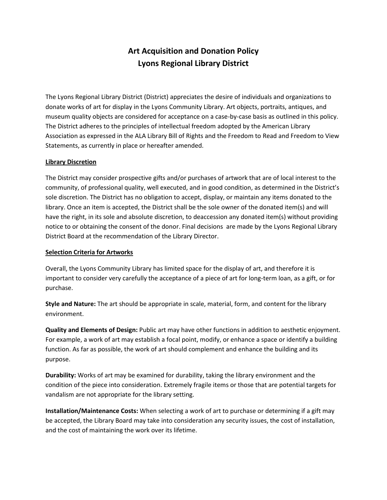# **Art Acquisition and Donation Policy Lyons Regional Library District**

The Lyons Regional Library District (District) appreciates the desire of individuals and organizations to donate works of art for display in the Lyons Community Library. Art objects, portraits, antiques, and museum quality objects are considered for acceptance on a case-by-case basis as outlined in this policy. The District adheres to the principles of intellectual freedom adopted by the American Library Association as expressed in the ALA Library Bill of Rights and the Freedom to Read and Freedom to View Statements, as currently in place or hereafter amended.

#### **Library Discretion**

The District may consider prospective gifts and/or purchases of artwork that are of local interest to the community, of professional quality, well executed, and in good condition, as determined in the District's sole discretion. The District has no obligation to accept, display, or maintain any items donated to the library. Once an item is accepted, the District shall be the sole owner of the donated item(s) and will have the right, in its sole and absolute discretion, to deaccession any donated item(s) without providing notice to or obtaining the consent of the donor. Final decisions are made by the Lyons Regional Library District Board at the recommendation of the Library Director.

#### **Selection Criteria for Artworks**

Overall, the Lyons Community Library has limited space for the display of art, and therefore it is important to consider very carefully the acceptance of a piece of art for long-term loan, as a gift, or for purchase.

**Style and Nature:** The art should be appropriate in scale, material, form, and content for the library environment.

**Quality and Elements of Design:** Public art may have other functions in addition to aesthetic enjoyment. For example, a work of art may establish a focal point, modify, or enhance a space or identify a building function. As far as possible, the work of art should complement and enhance the building and its purpose.

**Durability:** Works of art may be examined for durability, taking the library environment and the condition of the piece into consideration. Extremely fragile items or those that are potential targets for vandalism are not appropriate for the library setting.

**Installation/Maintenance Costs:** When selecting a work of art to purchase or determining if a gift may be accepted, the Library Board may take into consideration any security issues, the cost of installation, and the cost of maintaining the work over its lifetime.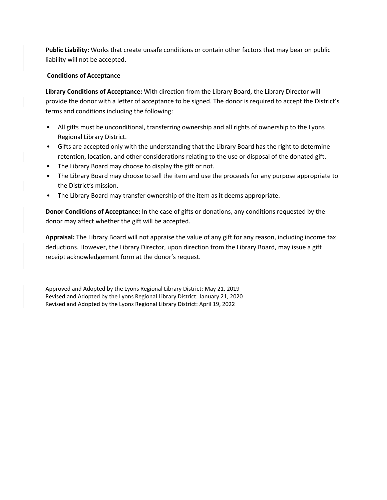**Public Liability:** Works that create unsafe conditions or contain other factors that may bear on public liability will not be accepted.

#### **Conditions of Acceptance**

**Library Conditions of Acceptance:** With direction from the Library Board, the Library Director will provide the donor with a letter of acceptance to be signed. The donor is required to accept the District's terms and conditions including the following:

- All gifts must be unconditional, transferring ownership and all rights of ownership to the Lyons Regional Library District.
- Gifts are accepted only with the understanding that the Library Board has the right to determine retention, location, and other considerations relating to the use or disposal of the donated gift.
- The Library Board may choose to display the gift or not.
- The Library Board may choose to sell the item and use the proceeds for any purpose appropriate to the District's mission.
- The Library Board may transfer ownership of the item as it deems appropriate.

**Donor Conditions of Acceptance:** In the case of gifts or donations, any conditions requested by the donor may affect whether the gift will be accepted.

**Appraisal:** The Library Board will not appraise the value of any gift for any reason, including income tax deductions. However, the Library Director, upon direction from the Library Board, may issue a gift receipt acknowledgement form at the donor's request.

Approved and Adopted by the Lyons Regional Library District: May 21, 2019 Revised and Adopted by the Lyons Regional Library District: January 21, 2020 Revised and Adopted by the Lyons Regional Library District: April 19, 2022